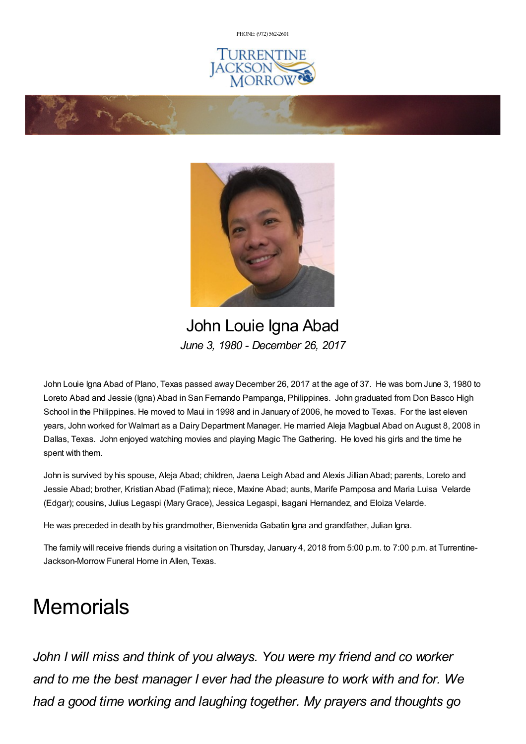PHONE: (972) [562-2601](tel:(972) 562-2601)







John Louie Igna Abad *June 3, 1980 - December 26, 2017*

John Louie Igna Abad of Plano, Texas passed away December 26, 2017 at the age of 37. He was born June 3, 1980 to Loreto Abad and Jessie (Igna) Abad in San Fernando Pampanga, Philippines. John graduated from Don Basco High School in the Philippines. He moved to Maui in 1998 and in January of 2006, he moved to Texas. For the last eleven years, John worked for Walmart as a Dairy Department Manager. He married Aleja Magbual Abad on August 8, 2008 in Dallas, Texas. John enjoyed watching movies and playing Magic The Gathering. He loved his girls and the time he spent with them.

John is survived by his spouse, Aleja Abad; children, Jaena Leigh Abad and Alexis Jillian Abad; parents, Loreto and Jessie Abad; brother, Kristian Abad (Fatima); niece, Maxine Abad; aunts, Marife Pamposa and Maria Luisa Velarde (Edgar); cousins, Julius Legaspi (MaryGrace), Jessica Legaspi, Isagani Hernandez, and Eloiza Velarde.

He was preceded in death by his grandmother, Bienvenida Gabatin Igna and grandfather, Julian Igna.

The family will receive friends during a visitation on Thursday, January 4, 2018 from 5:00 p.m. to 7:00 p.m. at Turrentine-Jackson-Morrow Funeral Home in Allen, Texas.

# **Memorials**

*John I will miss and think of you always. You were my friend and co worker and to me the best manager I ever had the pleasure to work with and for. We had a good time working and laughing together. My prayers and thoughts go*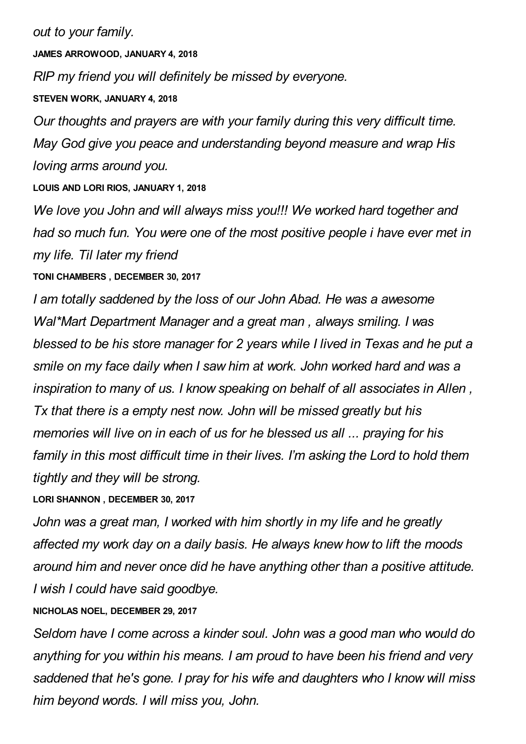*out to your family.*

**JAMES ARROWOOD, JANUARY 4, 2018**

*RIP my friend you will definitely be missed by everyone.*

#### **STEVEN WORK, JANUARY 4, 2018**

*Our thoughts and prayers are with your family during this very difficult time. May God give you peace and understanding beyond measure and wrap His loving arms around you.*

**LOUIS AND LORI RIOS, JANUARY 1, 2018**

*We love you John and will always miss you!!! We worked hard together and had so much fun. You were one of the most positive people i have ever met in my life. Til later my friend*

## **TONI CHAMBERS , DECEMBER 30, 2017**

*I am totally saddened by the loss of our John Abad. He was a awesome Wal\*Mart Department Manager and a great man , always smiling. I was blessed to be his store manager for 2 years while I lived in Texas and he put a smile on my face daily when I saw him at work. John worked hard and was a inspiration to many of us. I know speaking on behalf of all associates in Allen , Tx that there is a empty nest now. John will be missed greatly but his memories will live on in each of us for he blessed us all ... praying for his family in this most difficult time in their lives. I'm asking the Lord to hold them tightly and they will be strong.*

**LORI SHANNON , DECEMBER 30, 2017**

*John was a great man, I worked with him shortly in my life and he greatly affected my work day on a daily basis. He always knew how to lift the moods around him and never once did he have anything other than a positive attitude. I wish I could have said goodbye.*

## **NICHOLAS NOEL, DECEMBER 29, 2017**

*Seldom have I come across a kinder soul. John was a good man who would do anything for you within his means. I am proud to have been his friend and very saddened that he's gone. I pray for his wife and daughters who I know will miss him beyond words. I will miss you, John.*